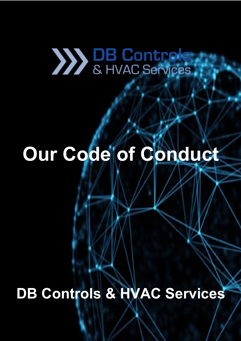# 

## Our Code of Conduct

**DB Controls & HVAC Services**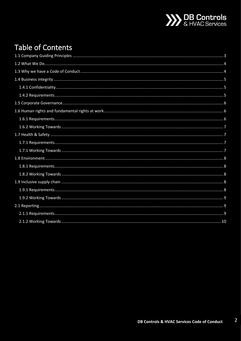

## **Table of Contents**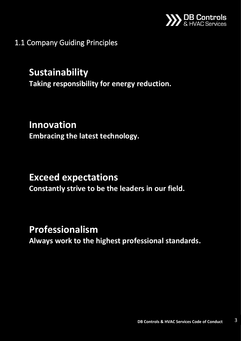

<span id="page-2-0"></span>1.1 Company Guiding Principles

## **Sustainability**

**Taking responsibility for energy reduction.**

## **Innovation**

**Embracing the latest technology.**

## **Exceed expectations**

**Constantly strive to be the leaders in our field.**

## **Professionalism**

**Always work to the highest professional standards.**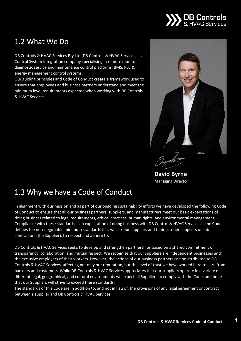

## <span id="page-3-0"></span>1.2 What We Do

DB Controls & HVAC Services Pty Ltd (DB Controls & HVAC Services) is a Control System Integration company specialising in remote monitor diagnostic service and maintenance control platforms, BMS, PLC & energy management control systems.

Our guiding principles and Code of Conduct create a framework used to ensure that employees and business partners understand and meet the minimum level requirements expected when working with DB Controls & HVAC Services.



**David Byrne** Managing Director

## <span id="page-3-1"></span>1.3 Why we have a Code of Conduct

In alignment with our mission and as part of our ongoing sustainability efforts we have developed the following Code of Conduct to ensure that all our business partners, suppliers, and manufacturers meet our basic expectations of doing business related to legal requirements, ethical practices, human rights, and environmental management. Compliance with these standards is an expectation of doing business with DB Control & HVAC Services as the Code defines the non-negotiable minimum standards that we ask our suppliers and their sub-tier suppliers or subcontractors (the Supplier), to respect and adhere to.

DB Controls & HVAC Services seeks to develop and strengthen partnerships based on a shared commitment of transparency, collaboration, and mutual respect. We recognise that our suppliers are independent businesses and the exclusive employers of their workers. However, the actions of our business partners can be attributed to DB Controls & HVAC Services, affecting not only our reputation, but the level of trust we have worked hard to earn from partners and customers. While DB Controls & HVAC Services appreciates that our suppliers operate in a variety of different legal, geographical, and cultural environments we expect all Suppliers to comply with the Code, and hope that our Suppliers will strive to exceed these standards.

The standards of this Code are in addition to, and not in lieu of, the provisions of any legal agreement or contract between a supplier and DB Controls & HVAC Services.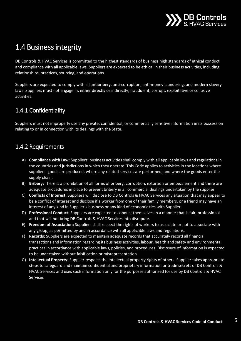

## <span id="page-4-0"></span>1.4 Business integrity

DB Controls & HVAC Services is committed to the highest standards of business high standards of ethical conduct and compliance with all applicable laws. Suppliers are expected to be ethical in their business activities, including relationships, practices, sourcing, and operations.

Suppliers are expected to comply with all antibribery, anti-corruption, anti-money laundering, and modern slavery laws. Suppliers must not engage in, either directly or indirectly, fraudulent, corrupt, exploitative or collusive activities.

#### <span id="page-4-1"></span>1.4.1 Confidentiality

Suppliers must not improperly use any private, confidential, or commercially sensitive information in its possession relating to or in connection with its dealings with the State.

#### <span id="page-4-2"></span>1.4.2 Requirements

- A) **Compliance with Law:** Suppliers' business activities shall comply with all applicable laws and regulations in the countries and jurisdictions in which they operate. This Code applies to activities in the locations where suppliers' goods are produced, where any related services are performed, and where the goods enter the supply chain.
- B) **Bribery:** There is a prohibition of all forms of bribery, corruption, extortion or embezzlement and there are adequate procedures in place to prevent bribery in all commercial dealings undertaken by the supplier.
- C) **Conflicts of Interest:** Suppliers will disclose to DB Controls & HVAC Services any situation that may appear to be a conflict of interest and disclose if a worker from one of their family members, or a friend may have an interest of any kind in Supplier's business or any kind of economic ties with Supplier.
- D) **Professional Conduct:** Suppliers are expected to conduct themselves in a manner that is fair, professional and that will not bring DB Controls & HVAC Services into disrepute.
- E) **Freedom of Association:** Suppliers shall respect the rights of workers to associate or not to associate with any group, as permitted by and in accordance with all applicable laws and regulations.
- F) **Records:** Suppliers are expected to maintain adequate records that accurately record all financial transactions and information regarding its business activities, labour, health and safety and environmental practices in accordance with applicable laws, policies, and procedures. Disclosure of information is expected to be undertaken without falsification or misrepresentation.
- G) **Intellectual Property:** Supplier respects the intellectual property rights of others. Supplier takes appropriate steps to safeguard and maintain confidential and proprietary information or trade secrets of DB Controls & HVAC Services and uses such information only for the purposes authorised for use by DB Controls & HVAC Services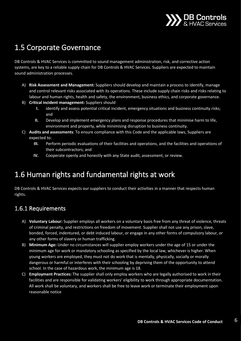

## <span id="page-5-0"></span>1.5 Corporate Governance

DB Controls & HVAC Services is committed to sound management administration, risk, and corrective action systems, are key to a reliable supply chain for DB Controls & HVAC Services. Suppliers are expected to maintain sound administration processes.

- A) **Risk Assessment and Management:** Suppliers should develop and maintain a process to identify, manage and control relevant risks associated with its operations. These include supply chain risks and risks relating to labour and human rights, health and safety, the environment, business ethics, and corporate governance.
- B) **Critical incident management:** Suppliers should
	- **I.** identify and assess potential critical incident, emergency situations and business continuity risks; and
	- **II.** Develop and implement emergency plans and response procedures that minimise harm to life, environment and property, while minimising disruption to business continuity.
- C) **Audits and assessments**: To ensure compliance with this Code and the applicable laws, Suppliers are expected to:
	- **III.** Perform periodic evaluations of their facilities and operations, and the facilities and operations of their subcontractors; and
	- **IV.** Cooperate openly and honestly with any State audit, assessment, or review.

## <span id="page-5-1"></span>1.6 Human rights and fundamental rights at work

DB Controls & HVAC Services expects our suppliers to conduct their activities in a manner that respects human rights.

#### <span id="page-5-2"></span>1.6.1 Requirements

- A) **Voluntary Labour:** Supplier employs all workers on a voluntary basis free from any threat of violence, threats of criminal penalty, and restrictions on freedom of movement. Supplier shall not use any prison, slave, bonded, forced, indentured, or debt induced labour, or engage in any other forms of compulsory labour, or any other forms of slavery or human trafficking.
- B) **Minimum Age:** Under no circumstances will supplier employ workers under the age of 15 or under the minimum age for work or mandatory schooling as specified by the local law, whichever is higher. When young workers are employed, they must not do work that is mentally, physically, socially or morally dangerous or harmful or interferes with their schooling by depriving them of the opportunity to attend school. In the case of hazardous work, the minimum age is 18.
- C) **Employment Practices:** The supplier shall only employ workers who are legally authorised to work in their facilities and are responsible for validating workers' eligibility to work through appropriate documentation. All work shall be voluntary, and workers shall be free to leave work or terminate their employment upon reasonable notice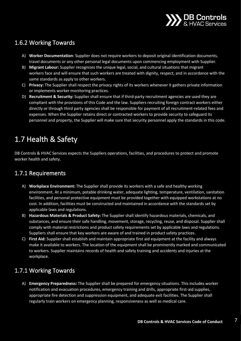

#### <span id="page-6-0"></span>1.6.2 Working Towards

- A) **Worker Documentation**: Supplier does not require workers to deposit original identification documents, travel documents or any other personal legal documents upon commencing employment with Supplier.
- B) **Migrant Labour:** Supplier recognizes the unique legal, social, and cultural situations that migrant workers face and will ensure that such workers are treated with dignity, respect, and in accordance with the same standards as apply to other workers.
- C) **Privacy:** The Supplier shall respect the privacy rights of its workers whenever it gathers private information or implements worker monitoring practices.
- D) **Recruitment & Security:** Supplier shall ensure that if third-party recruitment agencies are used they are compliant with the provisions of this Code and the law. Suppliers recruiting foreign contract workers either directly or through third party agencies shall be responsible for payment of all recruitment-related fees and expenses. When the Supplier retains direct or contracted workers to provide security to safeguard its personnel and property, the Supplier will make sure that security personnel apply the standards in this code.

## <span id="page-6-1"></span>1.7 Health & Safety

DB Controls & HVAC Services expects the Suppliers operations, facilities, and procedures to protect and promote worker health and safety.

#### <span id="page-6-2"></span>1.7.1 Requirements

- A) **Workplace Environment:** The Supplier shall provide its workers with a safe and healthy working environment. At a minimum, potable drinking water, adequate lighting, temperature, ventilation, sanitation facilities, and personal protective equipment must be provided together with equipped workstations at no cost. In addition, facilities must be constructed and maintained in accordance with the standards set by applicable laws and regulations.
- B) **Hazardous Materials & Product Safety:** The Supplier shall identify hazardous materials, chemicals, and substances, and ensure their safe handling, movement, storage, recycling, reuse, and disposal. Supplier shall comply with material restrictions and product safety requirements set by applicable laws and regulations. Suppliers shall ensure that key workers are aware of and trained in product safety practices.
- C) **First Aid:** Supplier shall establish and maintain appropriate first aid equipment at the facility and always make it available to workers. The location of the equipment shall be prominently marked and communicated to workers. Supplier maintains records of health and safety training and accidents and injuries at the workplace.

#### <span id="page-6-3"></span>1.7.1 Working Towards

A) **Emergency Preparedness:** The Supplier shall be prepared for emergency situations. This includes worker notification and evacuation procedures, emergency training and drills, appropriate first-aid supplies, appropriate fire detection and suppression equipment, and adequate exit facilities. The Supplier shall regularly train workers on emergency planning, responsiveness as well as medical care.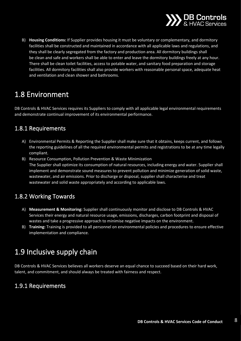

B) **Housing Conditions:** If Supplier provides housing it must be voluntary or complementary, and dormitory facilities shall be constructed and maintained in accordance with all applicable laws and regulations, and they shall be clearly segregated from the factory and production area. All dormitory buildings shall be clean and safe and workers shall be able to enter and leave the dormitory buildings freely at any hour. There shall be clean toilet facilities, access to potable water, and sanitary food preparation and storage facilities. All dormitory facilities shall also provide workers with reasonable personal space, adequate heat and ventilation and clean shower and bathrooms.

## <span id="page-7-0"></span>1.8 Environment

DB Controls & HVAC Services requires its Suppliers to comply with all applicable legal environmental requirements and demonstrate continual improvement of its environmental performance.

#### <span id="page-7-1"></span>1.8.1 Requirements

- A) Environmental Permits & Reporting the Supplier shall make sure that it obtains, keeps current, and follows the reporting guidelines of all the required environmental permits and registrations to be at any time legally compliant.
- B) Resource Consumption, Pollution Prevention & Waste Minimization The Supplier shall optimize its consumption of natural resources, including energy and water. Supplier shall implement and demonstrate sound measures to prevent pollution and minimize generation of solid waste, wastewater, and air emissions. Prior to discharge or disposal, supplier shall characterise and treat wastewater and solid waste appropriately and according to applicable laws.

#### <span id="page-7-2"></span>1.8.2 Working Towards

- A) **Measurement & Monitoring:** Supplier shall continuously monitor and disclose to DB Controls & HVAC Services their energy and natural resource usage, emissions, discharges, carbon footprint and disposal of wastes and take a progressive approach to minimise negative impacts on the environment.
- B) **Training:** Training is provided to all personnel on environmental policies and procedures to ensure effective implementation and compliance.

## <span id="page-7-3"></span>1.9 Inclusive supply chain

DB Controls & HVAC Services believes all workers deserve an equal chance to succeed based on their hard work, talent, and commitment, and should always be treated with fairness and respect.

#### <span id="page-7-4"></span>1.9.1 Requirements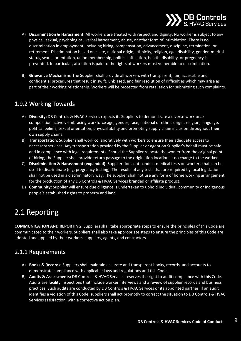

- A) **Discrimination & Harassment:** All workers are treated with respect and dignity. No worker is subject to any physical, sexual, psychological, verbal harassment, abuse, or other form of intimidation. There is no discrimination in employment, including hiring, compensation, advancement, discipline, termination, or retirement. Discrimination based on caste, national origin, ethnicity, religion, age, disability, gender, marital status, sexual orientation, union membership, political affiliation, health, disability, or pregnancy is prevented. In particular, attention is paid to the rights of workers most vulnerable to discrimination.
- B) **Grievance Mechanism:** The Supplier shall provide all workers with transparent, fair, accessible and confidential procedures that result in swift, unbiased, and fair resolution of difficulties which may arise as part of their working relationship. Workers will be protected from retaliation for submitting such complaints.

#### <span id="page-8-0"></span>1.9.2 Working Towards

- A) **Diversity:** DB Controls & HVAC Services expects its Suppliers to demonstrate a diverse workforce composition actively embracing workforce age, gender, race, national or ethnic origin, religion, language, political beliefs, sexual orientation, physical ability and promoting supply chain inclusion throughout their own supply chains.
- B) **Transportation:** Supplier shall work collaboratively with workers to ensure their adequate access to necessary services. Any transportation provided by the Supplier or agent on Supplier's behalf must be safe and in compliance with legal requirements. Should the Supplier relocate the worker from the original point of hiring, the Supplier shall provide return passage to the origination location at no charge to the worker.
- C) **Discrimination & Harassment (expanded):** Supplier does not conduct medical tests on workers that can be used to discriminate (e.g. pregnancy testing). The results of any tests that are required by local legislation shall not be used in a discriminatory way. The supplier shall not use any form of home working arrangement for the production of any DB Controls & HVAC Services branded or affiliate product.
- D) **Community:** Supplier will ensure due diligence is undertaken to uphold individual, community or indigenous people's established rights to property and land.

## <span id="page-8-1"></span>2.1 Reporting

**COMMUNICATION AND REPORTING:** Suppliers shall take appropriate steps to ensure the principles of this Code are communicated to their workers. Suppliers shall also take appropriate steps to ensure the principles of this Code are adopted and applied by their workers, suppliers, agents, and contractors

#### <span id="page-8-2"></span>2.1.1 Requirements

- A) **Books & Records:** Suppliers shall maintain accurate and transparent books, records, and accounts to demonstrate compliance with applicable laws and regulations and this Code.
- B) **Audits & Assessments:** DB Controls & HVAC Services reserves the right to audit compliance with this Code. Audits are facility inspections that include worker interviews and a review of supplier records and business practices. Such audits are conducted by DB Controls & HVAC Services or its appointed partner. If an audit identifies a violation of this Code, suppliers shall act promptly to correct the situation to DB Controls & HVAC Services satisfaction, with a corrective action plan.